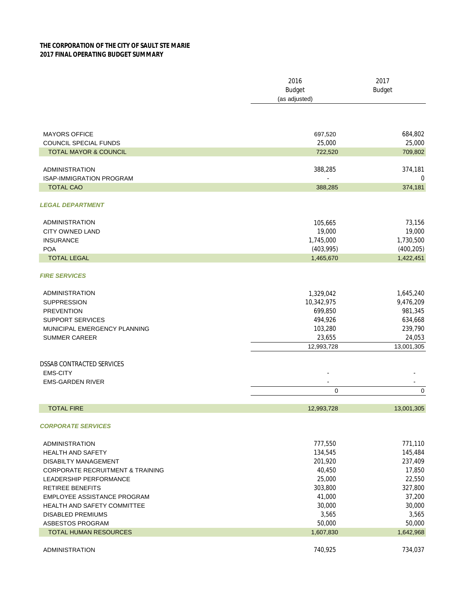## **THE CORPORATION OF THE CITY OF SAULT STE MARIE 2017 FINAL OPERATING BUDGET SUMMARY**

|                                                   | 2016<br><b>Budget</b><br>(as adjusted) | 2017<br><b>Budget</b>   |
|---------------------------------------------------|----------------------------------------|-------------------------|
|                                                   |                                        |                         |
| <b>MAYORS OFFICE</b>                              | 697,520                                | 684,802                 |
| COUNCIL SPECIAL FUNDS                             | 25,000                                 | 25,000                  |
| <b>TOTAL MAYOR &amp; COUNCIL</b>                  | 722,520                                | 709,802                 |
| <b>ADMINISTRATION</b>                             | 388,285                                | 374,181                 |
| <b>ISAP-IMMIGRATION PROGRAM</b>                   | $\Box$                                 | $\mathbf 0$             |
| <b>TOTAL CAO</b>                                  | 388,285                                | 374,181                 |
| <b>LEGAL DEPARTMENT</b>                           |                                        |                         |
|                                                   |                                        |                         |
| <b>ADMINISTRATION</b>                             | 105,665                                | 73,156                  |
| <b>CITY OWNED LAND</b>                            | 19,000                                 | 19,000                  |
| <b>INSURANCE</b><br><b>POA</b>                    | 1,745,000                              | 1,730,500               |
| <b>TOTAL LEGAL</b>                                | (403,995)<br>1,465,670                 | (400, 205)<br>1,422,451 |
|                                                   |                                        |                         |
| <b>FIRE SERVICES</b>                              |                                        |                         |
| <b>ADMINISTRATION</b>                             | 1,329,042                              | 1,645,240               |
| <b>SUPPRESSION</b>                                | 10,342,975                             | 9,476,209               |
| <b>PREVENTION</b>                                 | 699,850                                | 981,345                 |
| <b>SUPPORT SERVICES</b>                           | 494,926                                | 634,668                 |
| MUNICIPAL EMERGENCY PLANNING                      | 103,280                                | 239,790                 |
| <b>SUMMER CAREER</b>                              | 23,655                                 | 24,053                  |
|                                                   | 12,993,728                             | 13,001,305              |
| <b>DSSAB CONTRACTED SERVICES</b>                  |                                        |                         |
| <b>EMS-CITY</b>                                   |                                        |                         |
| <b>EMS-GARDEN RIVER</b>                           |                                        |                         |
|                                                   | 0                                      | 0                       |
| <b>TOTAL FIRE</b>                                 | 12,993,728                             | 13,001,305              |
| <b>CORPORATE SERVICES</b>                         |                                        |                         |
|                                                   | 777,550                                | 771,110                 |
| <b>ADMINISTRATION</b><br><b>HEALTH AND SAFETY</b> | 134,545                                | 145,484                 |
| <b>DISABILTY MANAGEMENT</b>                       | 201,920                                | 237,409                 |
| <b>CORPORATE RECRUITMENT &amp; TRAINING</b>       | 40,450                                 | 17,850                  |
| <b>LEADERSHIP PERFORMANCE</b>                     | 25,000                                 | 22,550                  |
| RETIREE BENEFITS                                  | 303,800                                | 327,800                 |
| EMPLOYEE ASSISTANCE PROGRAM                       | 41,000                                 | 37,200                  |
| <b>HEALTH AND SAFETY COMMITTEE</b>                | 30,000                                 | 30,000                  |
| <b>DISABLED PREMIUMS</b>                          | 3,565                                  | 3,565                   |
| ASBESTOS PROGRAM                                  | 50,000                                 | 50,000                  |
| <b>TOTAL HUMAN RESOURCES</b>                      | 1,607,830                              | 1,642,968               |
| ADMINISTRATION                                    | 740,925                                | 734,037                 |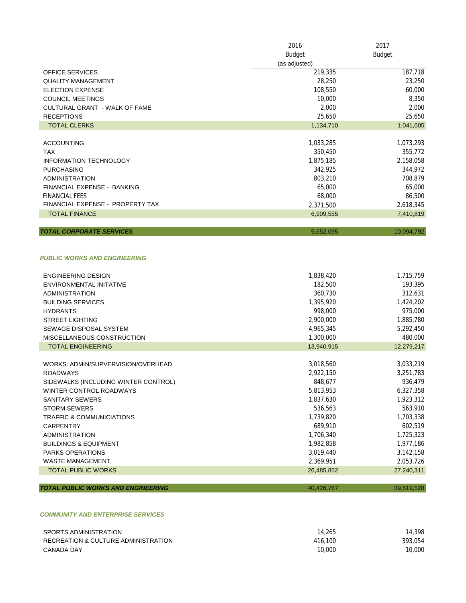|                                      | 2016          | 2017       |
|--------------------------------------|---------------|------------|
|                                      | <b>Budget</b> | Budget     |
|                                      | (as adjusted) |            |
| <b>OFFICE SERVICES</b>               | 219,335       | 187,718    |
| <b>QUALITY MANAGEMENT</b>            | 28,250        | 23,250     |
| <b>ELECTION EXPENSE</b>              | 108,550       | 60,000     |
| <b>COUNCIL MEETINGS</b>              | 10,000        | 8,350      |
| <b>CULTURAL GRANT - WALK OF FAME</b> | 2,000         | 2,000      |
| <b>RECEPTIONS</b>                    | 25,650        | 25,650     |
| <b>TOTAL CLERKS</b>                  | 1,134,710     | 1,041,005  |
|                                      |               |            |
| <b>ACCOUNTING</b>                    | 1,033,285     | 1,073,293  |
| <b>TAX</b>                           | 350,450       | 355,772    |
| <b>INFORMATION TECHNOLOGY</b>        | 1,875,185     | 2,158,058  |
| <b>PURCHASING</b>                    | 342,925       | 344,972    |
| <b>ADMINISTRATION</b>                | 803,210       | 708,879    |
| FINANCIAL EXPENSE - BANKING          | 65,000        | 65,000     |
| <b>FINANCIAL FEES</b>                | 68,000        | 86,500     |
| FINANCIAL EXPENSE - PROPERTY TAX     | 2,371,500     | 2,618,345  |
| <b>TOTAL FINANCE</b>                 | 6,909,555     | 7,410,819  |
|                                      |               |            |
| <b>TOTAL CORPORATE SERVICES</b>      | 9,652,095     | 10,094,792 |

## *PUBLIC WORKS AND ENGINEERING*

| <b>ENGINEERING DESIGN</b>                 | 1,838,420  | 1,715,759  |
|-------------------------------------------|------------|------------|
| ENVIRONMENTAL INITATIVE                   | 182,500    | 193,395    |
| <b>ADMINISTRATION</b>                     | 360,730    | 312,631    |
| <b>BUILDING SERVICES</b>                  | 1,395,920  | 1,424,202  |
| <b>HYDRANTS</b>                           | 998.000    | 975,000    |
| <b>STREET LIGHTING</b>                    | 2,900,000  | 1,885,780  |
| SEWAGE DISPOSAL SYSTEM                    | 4,965,345  | 5,292,450  |
| MISCELLANEOUS CONSTRUCTION                | 1,300,000  | 480,000    |
| <b>TOTAL ENGINEERING</b>                  | 13,940,915 | 12,279,217 |
|                                           |            |            |
| WORKS: ADMIN/SUPVERVISION/OVERHEAD        | 3,018,560  | 3,033,219  |
| <b>ROADWAYS</b>                           | 2,922,150  | 3,251,783  |
| SIDEWALKS (INCLUDING WINTER CONTROL)      | 848,677    | 936,479    |
| WINTER CONTROL ROADWAYS                   | 5,813,953  | 6,327,358  |
| <b>SANITARY SEWERS</b>                    | 1,837,630  | 1,923,312  |
| <b>STORM SEWERS</b>                       | 536,563    | 563,910    |
| <b>TRAFFIC &amp; COMMUNICIATIONS</b>      | 1,739,820  | 1,703,338  |
| <b>CARPENTRY</b>                          | 689,910    | 602,519    |
| <b>ADMINISTRATION</b>                     | 1,706,340  | 1,725,323  |
| <b>BUILDINGS &amp; EQUIPMENT</b>          | 1,982,858  | 1,977,186  |
| <b>PARKS OPERATIONS</b>                   | 3,019,440  | 3,142,158  |
| <b>WASTE MANAGEMENT</b>                   | 2,369,951  | 2,053,726  |
| <b>TOTAL PUBLIC WORKS</b>                 | 26,485,852 | 27,240,311 |
|                                           |            |            |
| <b>TOTAL PUBLIC WORKS AND ENGINEERING</b> | 40,426,767 | 39,519,528 |
|                                           |            |            |
|                                           |            |            |

## *COMMUNITY AND ENTERPRISE SERVICES*

| SPORTS ADMINISTRATION               | 14.265  | 14,398  |
|-------------------------------------|---------|---------|
| RECREATION & CULTURE ADMINISTRATION | 416,100 | 393.054 |
| CANADA DAY                          | 10,000  | 10,000  |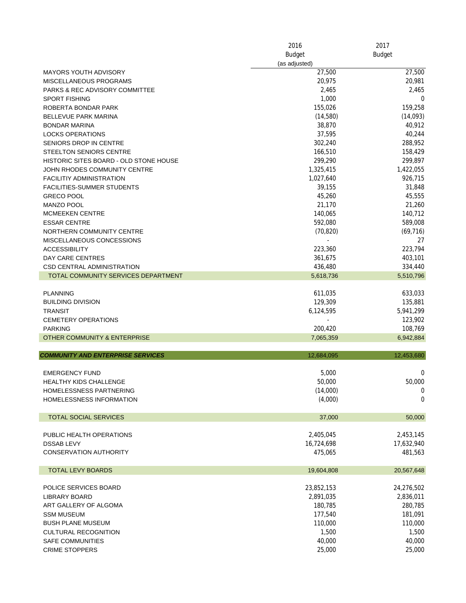|                                           | 2016<br><b>Budget</b> | 2017<br><b>Budget</b> |
|-------------------------------------------|-----------------------|-----------------------|
|                                           |                       |                       |
|                                           | (as adjusted)         |                       |
| <b>MAYORS YOUTH ADVISORY</b>              | 27,500                | 27,500                |
| MISCELLANEOUS PROGRAMS                    | 20,975                | 20,981                |
| <b>PARKS &amp; REC ADVISORY COMMITTEE</b> | 2,465                 | 2,465                 |
| <b>SPORT FISHING</b>                      | 1,000                 | 0                     |
| ROBERTA BONDAR PARK                       | 155,026               | 159,258               |
| <b>BELLEVUE PARK MARINA</b>               | (14,580)              | (14,093)              |
| <b>BONDAR MARINA</b>                      | 38,870                | 40,912                |
| <b>LOCKS OPERATIONS</b>                   | 37,595                | 40,244                |
| SENIORS DROP IN CENTRE                    | 302,240               | 288,952               |
| <b>STEELTON SENIORS CENTRE</b>            | 166,510               | 158,429               |
| HISTORIC SITES BOARD - OLD STONE HOUSE    | 299,290               | 299,897               |
|                                           |                       |                       |
| JOHN RHODES COMMUNITY CENTRE              | 1,325,415             | 1,422,055             |
| <b>FACILITIY ADMINISTRATION</b>           | 1,027,640             | 926,715               |
| <b>FACILITIES-SUMMER STUDENTS</b>         | 39,155                | 31,848                |
| <b>GRECO POOL</b>                         | 45,260                | 45,555                |
| <b>MANZO POOL</b>                         | 21,170                | 21,260                |
| <b>MCMEEKEN CENTRE</b>                    | 140,065               | 140,712               |
| <b>ESSAR CENTRE</b>                       | 592,080               | 589,008               |
| NORTHERN COMMUNITY CENTRE                 | (70, 820)             | (69, 716)             |
| MISCELLANEOUS CONCESSIONS                 |                       | 27                    |
| <b>ACCESSIBILITY</b>                      | 223,360               | 223,794               |
|                                           |                       |                       |
| DAY CARE CENTRES                          | 361,675               | 403,101               |
| <b>CSD CENTRAL ADMINISTRATION</b>         | 436,480               | 334,440               |
| TOTAL COMMUNITY SERVICES DEPARTMENT       | 5,618,736             | 5,510,796             |
|                                           |                       |                       |
| <b>PLANNING</b>                           | 611,035               | 633,033               |
| <b>BUILDING DIVISION</b>                  | 129,309               | 135,881               |
| <b>TRANSIT</b>                            | 6,124,595             | 5,941,299             |
| <b>CEMETERY OPERATIONS</b>                |                       | 123,902               |
| <b>PARKING</b>                            | 200,420               | 108,769               |
| OTHER COMMUNITY & ENTERPRISE              | 7,065,359             | 6,942,884             |
|                                           |                       |                       |
| <b>COMMUNITY AND ENTERPRISE SERVICES</b>  | 12,684,095            | 12,453,680            |
| <b>EMERGENCY FUND</b>                     | 5,000                 | 0                     |
| <b>HEALTHY KIDS CHALLENGE</b>             | 50,000                | 50,000                |
| HOMELESSNESS PARTNERING                   | (14,000)              | $\boldsymbol{0}$      |
| HOMELESSNESS INFORMATION                  | (4,000)               | $\mathbf 0$           |
|                                           |                       |                       |
| <b>TOTAL SOCIAL SERVICES</b>              | 37,000                | 50,000                |
| PUBLIC HEALTH OPERATIONS                  | 2,405,045             | 2,453,145             |
| <b>DSSAB LEVY</b>                         | 16,724,698            | 17,632,940            |
| <b>CONSERVATION AUTHORITY</b>             | 475,065               | 481,563               |
| <b>TOTAL LEVY BOARDS</b>                  | 19,604,808            | 20,567,648            |
| POLICE SERVICES BOARD                     | 23,852,153            | 24,276,502            |
| LIBRARY BOARD                             | 2,891,035             | 2,836,011             |
| ART GALLERY OF ALGOMA                     | 180,785               | 280,785               |
|                                           |                       |                       |
| <b>SSM MUSEUM</b>                         | 177,540               | 181,091               |
| <b>BUSH PLANE MUSEUM</b>                  | 110,000               | 110,000               |
| <b>CULTURAL RECOGNITION</b>               | 1,500                 | 1,500                 |
| <b>SAFE COMMUNITIES</b>                   | 40,000                | 40,000                |
| <b>CRIME STOPPERS</b>                     | 25,000                | 25,000                |